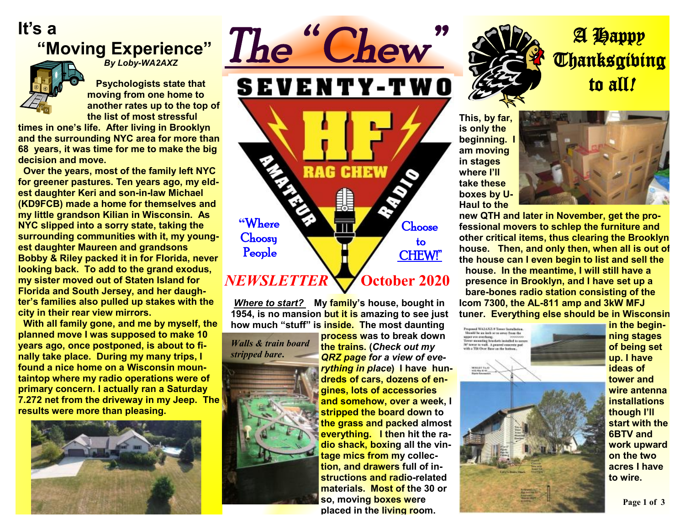# **It's a "Moving Experience"**



*By Loby-WA2AXZ* 

 **Psychologists state that moving from one home to another rates up to the top of the list of most stressful** 

**times in one's life. After living in Brooklyn and the surrounding NYC area for more than 68 years, it was time for me to make the big decision and move.** 

**Over the years, most of the family left NYC for greener pastures. Ten years ago, my eldest daughter Keri and son-in-law Michael (KD9FCB) made a home for themselves and my little grandson Kilian in Wisconsin. As NYC slipped into a sorry state, taking the surrounding communities with it, my youngest daughter Maureen and grandsons Bobby & Riley packed it in for Florida, never looking back. To add to the grand exodus, my sister moved out of Staten Island for Florida and South Jersey, and her daughter's families also pulled up stakes with the city in their rear view mirrors.** 

**With all family gone, and me by myself, the planned move I was supposed to make 10 years ago, once postponed, is about to finally take place. During my many trips, I found a nice home on a Wisconsin mountaintop where my radio operations were of primary concern. I actually ran a Saturday 7.272 net from the driveway in my Jeep. The results were more than pleasing.** 





*Where to start?* **My family's house, bought in 1954, is no mansion but it is amazing to see just how much "stuff" is inside. The most daunting** 

*Walls & train board stripped bare***.** 

**process was to break down the trains. (***Check out my QRZ page for a view of everything in place***) I have hundreds of cars, dozens of engines, lots of accessories and somehow, over a week, I stripped the board down to the grass and packed almost everything. I then hit the radio shack, boxing all the vintage mics from my collection, and drawers full of instructions and radio-related materials. Most of the 30 or so, moving boxes were** 

**placed in the living room.** 



A Happy **Thanksgibing** to all*!*

**This, by far, is only the beginning. I am moving in stages where I'll take these boxes by U-Haul to the** 



**new QTH and later in November, get the professional movers to schlep the furniture and other critical items, thus clearing the Brooklyn house. Then, and only then, when all is out of the house can I even begin to list and sell the house. In the meantime, I will still have a presence in Brooklyn, and I have set up a bare-bones radio station consisting of the Icom 7300, the AL-811 amp and 3kW MFJ tuner. Everything else should be in Wisconsin** 



**in the beginning stages of being set up. I have ideas of tower and wire antenna installations though I'll start with the 6BTV and work upward on the two acres I have to wire.**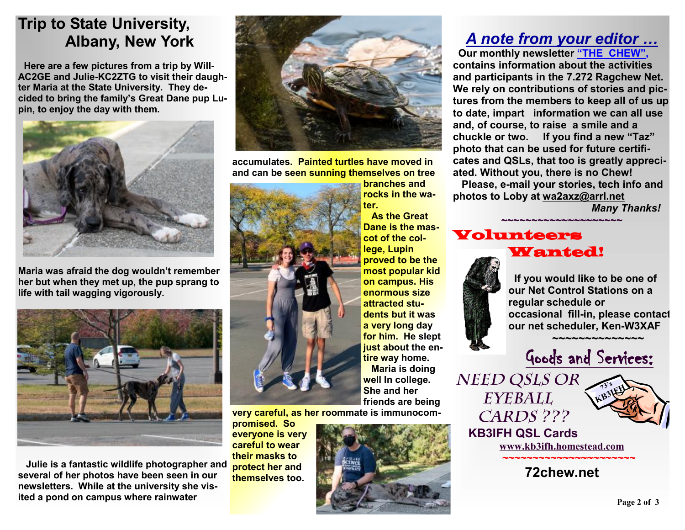### **Trip to State University, Albany, New York**

 **Here are a few pictures from a trip by Will-AC2GE and Julie-KC2ZTG to visit their daughter Maria at the State University. They decided to bring the family's Great Dane pup Lupin, to enjoy the day with them.** 



**Maria was afraid the dog wouldn't remember her but when they met up, the pup sprang to life with tail wagging vigorously.** 



**Julie is a fantastic wildlife photographer and several of her photos have been seen in our newsletters. While at the university she visited a pond on campus where rainwater**



**and can be seen sunning themselves on tree** 



**accumulates. Painted turtles have moved in** 

**branches and rocks in the water.** 

**As the Great Dane is the mascot of the college, Lupin proved to be the most popular kid on campus. His enormous size attracted students but it was a very long day for him. He slept just about the entire way home. Maria is doing well In college. She and her friends are being** 

**very careful, as her roommate is immunocom-**

**promised. So everyone is very careful to wear their masks to protect her and themselves too.**



## *A note from your editor …*

 **Our monthly newsletter "THE CHEW", contains information about the activities and participants in the 7.272 Ragchew Net. We rely on contributions of stories and pictures from the members to keep all of us up to date, impart information we can all use and, of course, to raise a smile and a chuckle or two. If you find a new "Taz" photo that can be used for future certificates and QSLs, that too is greatly appreciated. Without you, there is no Chew! Please, e-mail your stories, tech info and** 

**photos to Loby at [wa2axz@arrl.net](mailto:wa2axz@arrl.net)** 

**~~~~~~~~~~~~~~~~~~~~**

*Many Thanks!* 

#### Volunteers Wanted!

 **If you would like to be one of our Net Control Stations on a regular schedule or occasional fill-in, please contact our net scheduler, Ken-W3XAF**

 **~~~~~~~~~~~~~~** 

Goods and Services:

*Need QSLs or Eyeball Cards ???* 



 **KB3IFH QSL Cards [www.kb3ifh.homestead.com](http://www.kb3ifh.homestead.com) ~~~~~~~~~~~~~~~~~~~~~~** 

**72chew.net**